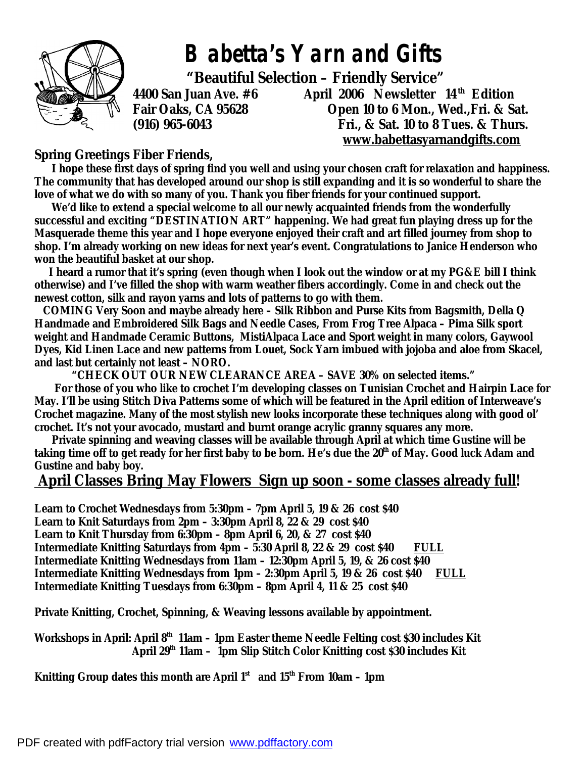

*Babetta's Yarn and Gifts* 

 **"Beautiful Selection – Friendly Service"** 

**4400 San Juan Ave. #6 April 2006 Newsletter 14 th Edition Fair Oaks, CA 95628 Open 10 to 6 Mon., Wed.,Fri. & Sat. (916) 965-6043 Fri., & Sat. 10 to 8 Tues. & Thurs. [www.babettasyarnandgifts.com](http://www.babettasyarnandgifts.com)**

## **Spring Greetings Fiber Friends,**

 **I hope these first days of spring find you well and using your chosen craft for relaxation and happiness. The community that has developed around our shop is still expanding and it is so wonderful to share the love of what we do with so many of you. Thank you fiber friends for your continued support.** 

 **We'd like to extend a special welcome to all our newly acquainted friends from the wonderfully successful and exciting "DESTINATION ART" happening. We had great fun playing dress up for the Masquerade theme this year and I hope everyone enjoyed their craft and art filled journey from shop to shop. I'm already working on new ideas for next year's event. Congratulations to Janice Henderson who won the beautiful basket at our shop.** 

 **I heard a rumor that it's spring (even though when I look out the window or at my PG&E bill I think otherwise) and I've filled the shop with warm weather fibers accordingly. Come in and check out the newest cotton, silk and rayon yarns and lots of patterns to go with them.** 

*COMING Very Soon* **and maybe already here – Silk Ribbon and Purse Kits from Bagsmith, Della Q Handmade and Embroidered Silk Bags and Needle Cases, From Frog Tree Alpaca – Pima Silk sport weight and Handmade Ceramic Buttons, MistiAlpaca Lace and Sport weight in many colors, Gaywool Dyes, Kid Linen Lace and new patterns from Louet, Sock Yarn imbued with jojoba and aloe from Skacel, and last but certainly not least – NORO.** 

 **"CHECK OUT OUR NEW CLEARANCE AREA – SAVE 30% on selected items."** 

 **For those of you who like to crochet I'm developing classes on Tunisian Crochet and Hairpin Lace for May. I'll be using Stitch Diva Patterns some of which will be featured in the April edition of Interweave's Crochet magazine. Many of the most stylish new looks incorporate these techniques along with good ol' crochet. It's not your avocado, mustard and burnt orange acrylic granny squares any more.** 

 **Private spinning and weaving classes will be available through April at which time Gustine will be taking time off to get ready for her first baby to be born. He's due the 20th of May. Good luck Adam and Gustine and baby boy.** 

## **April Classes Bring May Flowers Sign up soon - some classes already full!**

**Learn to Crochet Wednesdays from 5:30pm – 7pm April 5, 19 & 26 cost \$40 Learn to Knit Saturdays from 2pm – 3:30pm April 8, 22 & 29 cost \$40 Learn to Knit Thursday from 6:30pm – 8pm April 6, 20, & 27 cost \$40 Intermediate Knitting Saturdays from 4pm – 5:30 April 8, 22 & 29 cost \$40 FULL Intermediate Knitting Wednesdays from 11am – 12:30pm April 5, 19, & 26 cost \$40 Intermediate Knitting Wednesdays from 1pm – 2:30pm April 5, 19 & 26 cost \$40 FULL Intermediate Knitting Tuesdays from 6:30pm – 8pm April 4, 11 & 25 cost \$40** 

**Private Knitting, Crochet, Spinning, & Weaving lessons available by appointment.** 

**Workshops in April: April 8th 11am – 1pm Easter theme Needle Felting cost \$30 includes Kit April 29th 11am – 1pm Slip Stitch Color Knitting cost \$30 includes Kit** 

**Knitting Group dates this month are April 1st and 15th From 10am – 1pm**